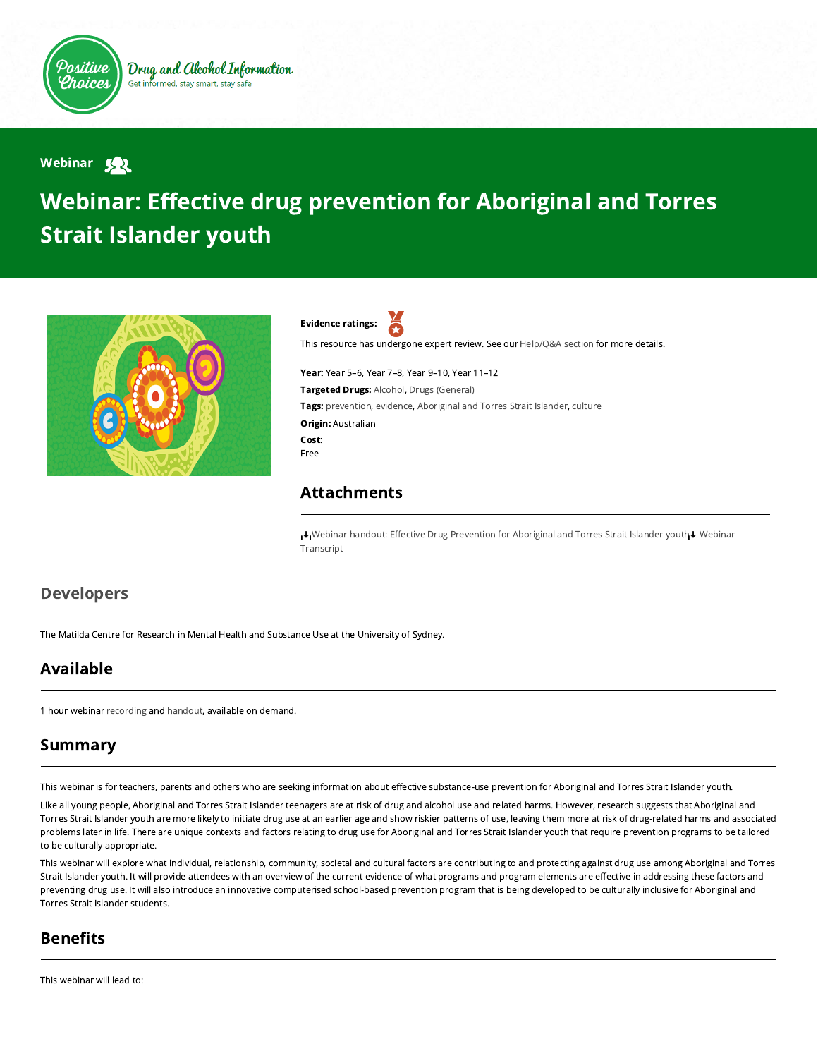

Webinar 522

# Webinar: Effective drug prevention for Aboriginal and Torres Strait Islander youth





This resource has undergone expert review. See our [Help/Q&A section](https://positivechoices.org.au/help/questions-and-answers/) for more details.

Year: Year 5–6, Year 7–8, Year 9–10, Year 11–12 Targeted Drugs: Alcohol, Drugs (General) Tags: prevention, evidence, Aboriginal and Torres Strait Islander, culture Origin: Australian Cost: Free

#### Attachments

[W](https://positivechoices.org.au/documents/IXZRoh2HiF/webinar-transcript/)[ebinar handout: Eective Drug Prevention for Aboriginal and Torres Strait Islander yout](https://positivechoices.org.au/documents/LvBgwf6beg/webinar-handout-effective-drug-prevention-for-aboriginal-and-torres-strait-islander-youth/)[h](https://positivechoices.org.au/documents/IXZRoh2HiF/webinar-transcript/) Webinar Transcript

#### Developers

The Matilda Centre for Research in Mental Health and Substance Use at the University of Sydney.

## Available

1 hour webinar [recording](https://youtu.be/yziOKSspmeY) and [handout,](https://positivechoices.org.au/documents/LvBgwf6beg/webinar-handout-effective-drug-prevention-for-aboriginal-and-torres-strait-islander-youth/) available on demand.

## Summary

This webinar is for teachers, parents and others who are seeking information about effective substance-use prevention for Aboriginal and Torres Strait Islander youth.

Like all young people, Aboriginal and Torres Strait Islander teenagers are at risk of drug and alcohol use and related harms. However, research suggests that Aboriginal and Torres Strait Islander youth are more likely to initiate drug use at an earlier age and show riskier patterns of use, leaving them more at risk of drug-related harms and associated problems later in life. There are unique contexts and factors relating to drug use for Aboriginal and Torres Strait Islander youth that require prevention programs to be tailored to be culturally appropriate.

This webinar will explore what individual, relationship, community, societal and cultural factors are contributing to and protecting against drug use among Aboriginal and Torres Strait Islander youth. It will provide attendees with an overview of the current evidence of what programs and program elements are effective in addressing these factors and preventing drug use. It will also introduce an innovative computerised school-based prevention program that is being developed to be culturally inclusive for Aboriginal and Torres Strait Islander students.

## **Benefits**

This webinar will lead to: